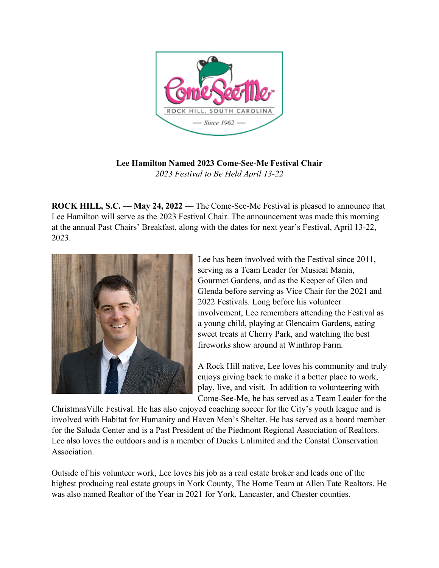

**Lee Hamilton Named 2023 Come-See-Me Festival Chair** *2023 Festival to Be Held April 13-22*

**ROCK HILL, S.C. — May 24, 2022 —** The Come-See-Me Festival is pleased to announce that Lee Hamilton will serve as the 2023 Festival Chair. The announcement was made this morning at the annual Past Chairs' Breakfast, along with the dates for next year's Festival, April 13-22, 2023.



Lee has been involved with the Festival since 2011, serving as a Team Leader for Musical Mania, Gourmet Gardens, and as the Keeper of Glen and Glenda before serving as Vice Chair for the 2021 and 2022 Festivals. Long before his volunteer involvement, Lee remembers attending the Festival as a young child, playing at Glencairn Gardens, eating sweet treats at Cherry Park, and watching the best fireworks show around at Winthrop Farm.

A Rock Hill native, Lee loves his community and truly enjoys giving back to make it a better place to work, play, live, and visit. In addition to volunteering with Come-See-Me, he has served as a Team Leader for the

ChristmasVille Festival. He has also enjoyed coaching soccer for the City's youth league and is involved with Habitat for Humanity and Haven Men's Shelter. He has served as a board member for the Saluda Center and is a Past President of the Piedmont Regional Association of Realtors. Lee also loves the outdoors and is a member of Ducks Unlimited and the Coastal Conservation Association.

Outside of his volunteer work, Lee loves his job as a real estate broker and leads one of the highest producing real estate groups in York County, The Home Team at Allen Tate Realtors. He was also named Realtor of the Year in 2021 for York, Lancaster, and Chester counties.